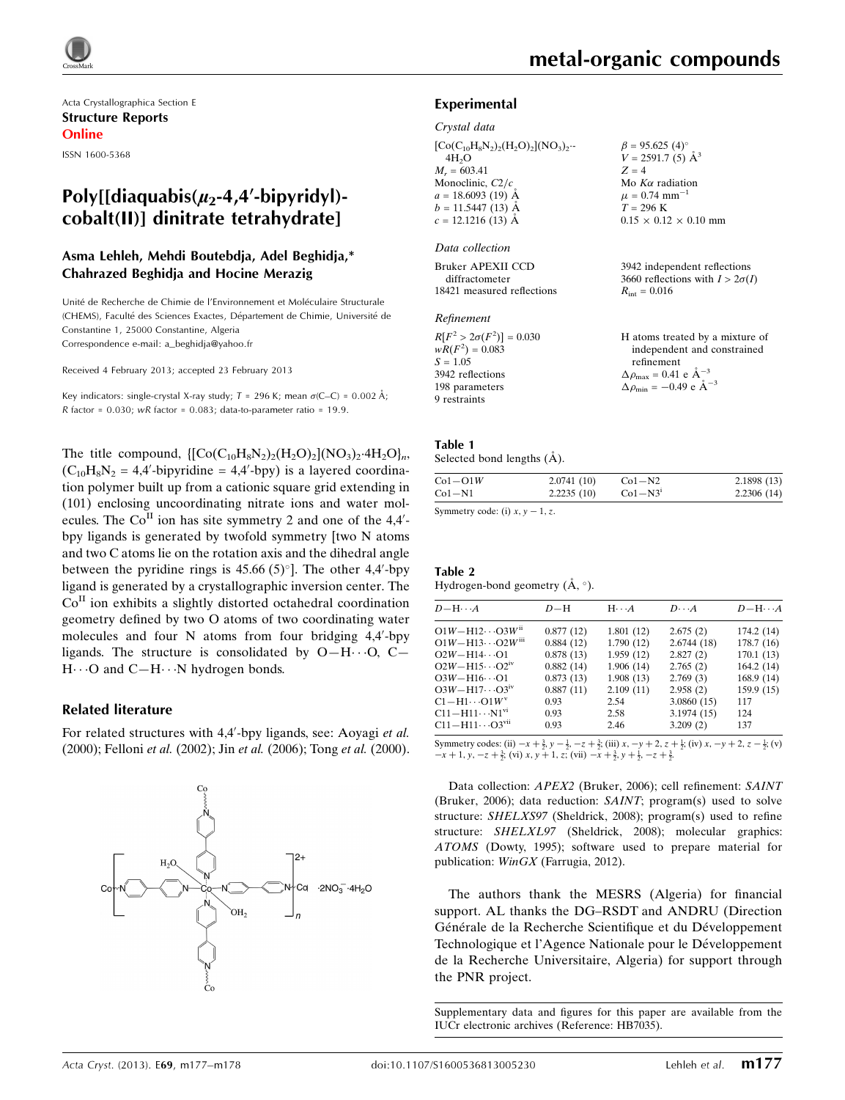Acta Crystallographica Section E Structure Reports Online

ISSN 1600-5368

## Poly[[diaquabis( $\mu_2$ -4,4'-bipyridyl)cobalt(II)] dinitrate tetrahydrate]

## Asma Lehleh, Mehdi Boutebdja, Adel Beghidja,\* Chahrazed Beghidja and Hocine Merazig

Unite´ de Recherche de Chimie de l'Environnement et Mole´culaire Structurale (CHEMS), Faculte´ des Sciences Exactes, De´partement de Chimie, Universite´ de Constantine 1, 25000 Constantine, Algeria Correspondence e-mail: [a\\_beghidja@yahoo.fr](https://scripts.iucr.org/cgi-bin/cr.cgi?rm=pdfbb&cnor=hb7035&bbid=BB8)

Received 4 February 2013; accepted 23 February 2013

Key indicators: single-crystal X-ray study;  $T = 296$  K; mean  $\sigma$ (C–C) = 0.002 Å;  $R$  factor = 0.030; wR factor = 0.083; data-to-parameter ratio = 19.9.

The title compound,  $\left[{\rm Co}(C_{10}H_8N_2)_2(H_2O)_2]({\rm NO}_3)_2.4H_2O\right]_n$  $(C_{10}H_8N_2 = 4,4'-bipyridine = 4,4'-bpy)$  is a layered coordination polymer built up from a cationic square grid extending in (101) enclosing uncoordinating nitrate ions and water molecules. The  $Co<sup>H</sup>$  ion has site symmetry 2 and one of the 4,4'bpy ligands is generated by twofold symmetry [two N atoms and two C atoms lie on the rotation axis and the dihedral angle between the pyridine rings is  $45.66 (5)^\circ$ ]. The other  $4,4'$ -bpy ligand is generated by a crystallographic inversion center. The  $Co<sup>H</sup>$  ion exhibits a slightly distorted octahedral coordination geometry defined by two O atoms of two coordinating water molecules and four N atoms from four bridging 4,4'-bpy ligands. The structure is consolidated by  $O-H\cdots O$ ,  $C-H$ H $\cdots$ O and C-H $\cdots$ N hydrogen bonds.

#### Related literature

For related structures with 4,4'-bpy ligands, see: Aoyagi et al. (2000); Felloni et al. (2002); Jin et al. (2006); Tong et al. (2000).

# 12+  $H<sub>2</sub>O$ ∤ca  $-2NO_3^ -4H_2O$ OH<sub>2</sub> J n

#### Experimental

#### Crystal data

| $\beta$ = 95.625 (4)°<br>V = 2591.7 (5) Å <sup>3</sup> |
|--------------------------------------------------------|
| $Z = 4$                                                |
| Mo $K\alpha$ radiation                                 |
| $\mu = 0.74$ mm <sup>-1</sup>                          |
| $T = 296$ K                                            |
| $0.15 \times 0.12 \times 0.10$ mm                      |
|                                                        |
| 3942 independent reflections                           |
| 3660 reflections with $I > 2\sigma(I)$                 |
| $R_{\text{int}} = 0.016$                               |
|                                                        |
| H atoms treated by a mixture of                        |
| independent and constrained                            |
| refinement                                             |
| $\Delta \rho_{\text{max}} = 0.41 \text{ e A}^{-3}$     |
| $\Delta \rho_{\text{min}} = -0.49$ e $\AA^{-3}$        |
|                                                        |

#### Table 1

9 restraints

| Selected bond lengths (A). |  |  |
|----------------------------|--|--|

| $Co1-O1W$ | 2.0741(10) | $Co1-N2$  | 2.1898(13) |
|-----------|------------|-----------|------------|
| $Co1-N1$  | 2.2235(10) | $Co1-N31$ | 2.2306(14) |
|           |            |           |            |

Symmetry code: (i)  $x, y - 1, z$ .

#### Table 2 Hydrogen-bond geometry  $(A, \degree)$ .

| $D - H \cdots A$                      | $D-H$     | $H \cdot \cdot \cdot A$ | $D \cdot \cdot \cdot A$ | $D - H \cdots A$ |
|---------------------------------------|-----------|-------------------------|-------------------------|------------------|
| $O1W - H12 \cdots O3W$ <sup>ii</sup>  | 0.877(12) | 1.801(12)               | 2.675(2)                | 174.2 (14)       |
| $O1W - H13 \cdots O2W$ <sup>iii</sup> | 0.884(12) | 1.790(12)               | 2.6744(18)              | 178.7(16)        |
| $O2W - H14 \cdots O1$                 | 0.878(13) | 1.959(12)               | 2.827(2)                | 170.1(13)        |
| $O2W - H15 \cdots O2^{IV}$            | 0.882(14) | 1.906(14)               | 2.765(2)                | 164.2(14)        |
| $O3W - H16 \cdots O1$                 | 0.873(13) | 1.908(13)               | 2.769(3)                | 168.9(14)        |
| $O3W - H17 \cdots O3^{1V}$            | 0.887(11) | 2.109(11)               | 2.958(2)                | 159.9(15)        |
| $C1 - H1 \cdots O1 W^v$               | 0.93      | 2.54                    | 3.0860(15)              | 117              |
| $C11 - H11 \cdots N1^{VI}$            | 0.93      | 2.58                    | 3.1974 (15)             | 124              |
| $C11 - H11 \cdots O3^{vu}$            | 0.93      | 2.46                    | 3.209(2)                | 137              |

Symmetry codes: (ii)  $-x + \frac{3}{2}$ ,  $y - \frac{1}{2}$ ,  $-z + \frac{3}{2}$ ; (iii)  $x, -y + 2$ ,  $z + \frac{1}{2}$ ; (iv)  $x, -y + 2$ ,  $z - \frac{1}{2}$ ; (v)  $-x+1$ ,  $y$ ,  $-z+\frac{3}{2}$ ; (vi)  $x$ ,  $y+1$ ,  $z$ ; (vii)  $-x+\frac{3}{2}$ ,  $y+\frac{1}{2}$ ,  $-z+\frac{3}{2}$ .

Data collection: APEX2 (Bruker, 2006); cell refinement: SAINT (Bruker, 2006); data reduction: SAINT; program(s) used to solve structure: SHELXS97 (Sheldrick, 2008); program(s) used to refine structure: SHELXL97 (Sheldrick, 2008); molecular graphics: ATOMS (Dowty, 1995); software used to prepare material for publication: WinGX (Farrugia, 2012).

The authors thank the MESRS (Algeria) for financial support. AL thanks the DG–RSDT and ANDRU (Direction Générale de la Recherche Scientifique et du Développement Technologique et l'Agence Nationale pour le Développement de la Recherche Universitaire, Algeria) for support through the PNR project.

Supplementary data and figures for this paper are available from the IUCr electronic archives (Reference: HB7035).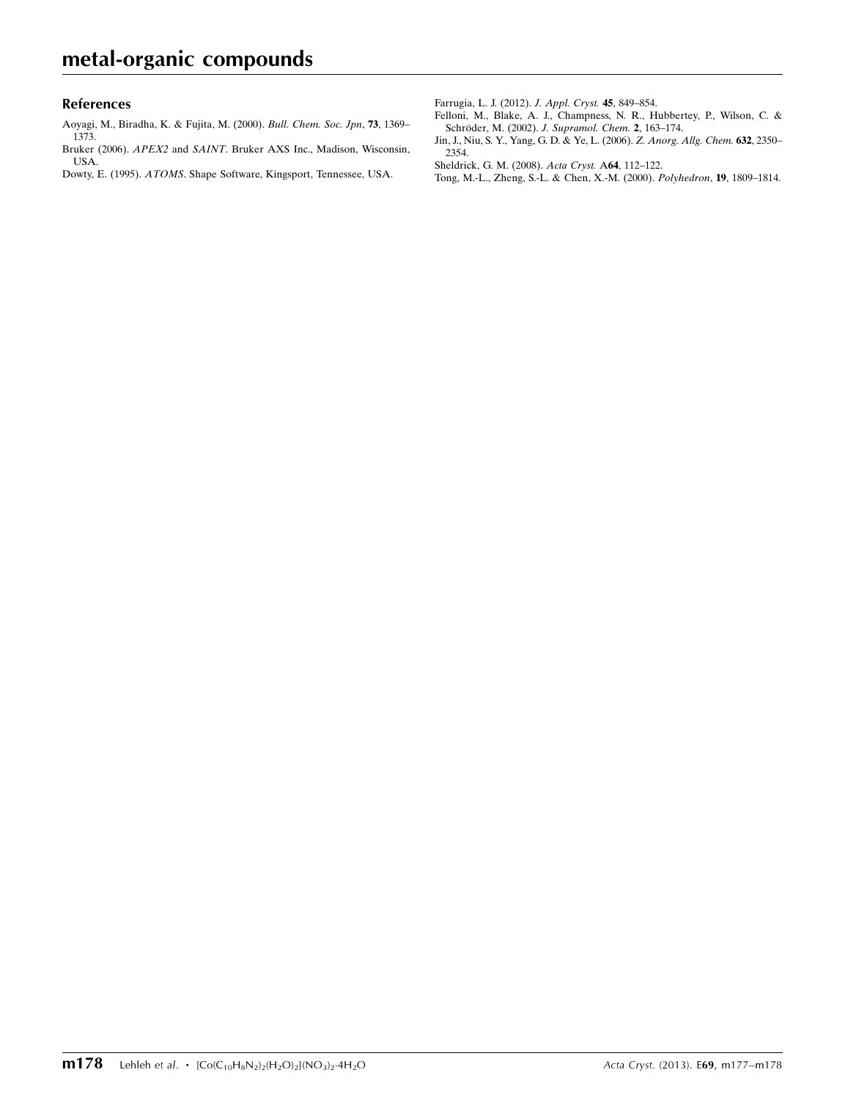#### References

[Aoyagi, M., Biradha, K. & Fujita, M. \(2000\).](https://scripts.iucr.org/cgi-bin/cr.cgi?rm=pdfbb&cnor=hb7035&bbid=BB1) Bull. Chem. Soc. Jpn, 73, 1369– [1373.](https://scripts.iucr.org/cgi-bin/cr.cgi?rm=pdfbb&cnor=hb7035&bbid=BB1)

Bruker (2006). APEX2 and SAINT[. Bruker AXS Inc., Madison, Wisconsin,](https://scripts.iucr.org/cgi-bin/cr.cgi?rm=pdfbb&cnor=hb7035&bbid=BB2) [USA.](https://scripts.iucr.org/cgi-bin/cr.cgi?rm=pdfbb&cnor=hb7035&bbid=BB2)

Dowty, E. (1995). ATOMS[. Shape Software, Kingsport, Tennessee, USA.](https://scripts.iucr.org/cgi-bin/cr.cgi?rm=pdfbb&cnor=hb7035&bbid=BB3)

[Farrugia, L. J. \(2012\).](https://scripts.iucr.org/cgi-bin/cr.cgi?rm=pdfbb&cnor=hb7035&bbid=BB4) J. Appl. Cryst. 45, 849–854.

- [Felloni, M., Blake, A. J., Champness, N. R., Hubbertey, P., Wilson, C. &](https://scripts.iucr.org/cgi-bin/cr.cgi?rm=pdfbb&cnor=hb7035&bbid=BB5) Schröder, M. (2002). J. Supramol. Chem. 2, 163-174.
- [Jin, J., Niu, S. Y., Yang, G. D. & Ye, L. \(2006\).](https://scripts.iucr.org/cgi-bin/cr.cgi?rm=pdfbb&cnor=hb7035&bbid=BB6) Z. Anorg. Allg. Chem. 632, 2350– [2354.](https://scripts.iucr.org/cgi-bin/cr.cgi?rm=pdfbb&cnor=hb7035&bbid=BB6)
- [Sheldrick, G. M. \(2008\).](https://scripts.iucr.org/cgi-bin/cr.cgi?rm=pdfbb&cnor=hb7035&bbid=BB7) Acta Cryst. A64, 112–122.
- [Tong, M.-L., Zheng, S.-L. & Chen, X.-M. \(2000\).](https://scripts.iucr.org/cgi-bin/cr.cgi?rm=pdfbb&cnor=hb7035&bbid=BB8) Polyhedron, 19, 1809–1814.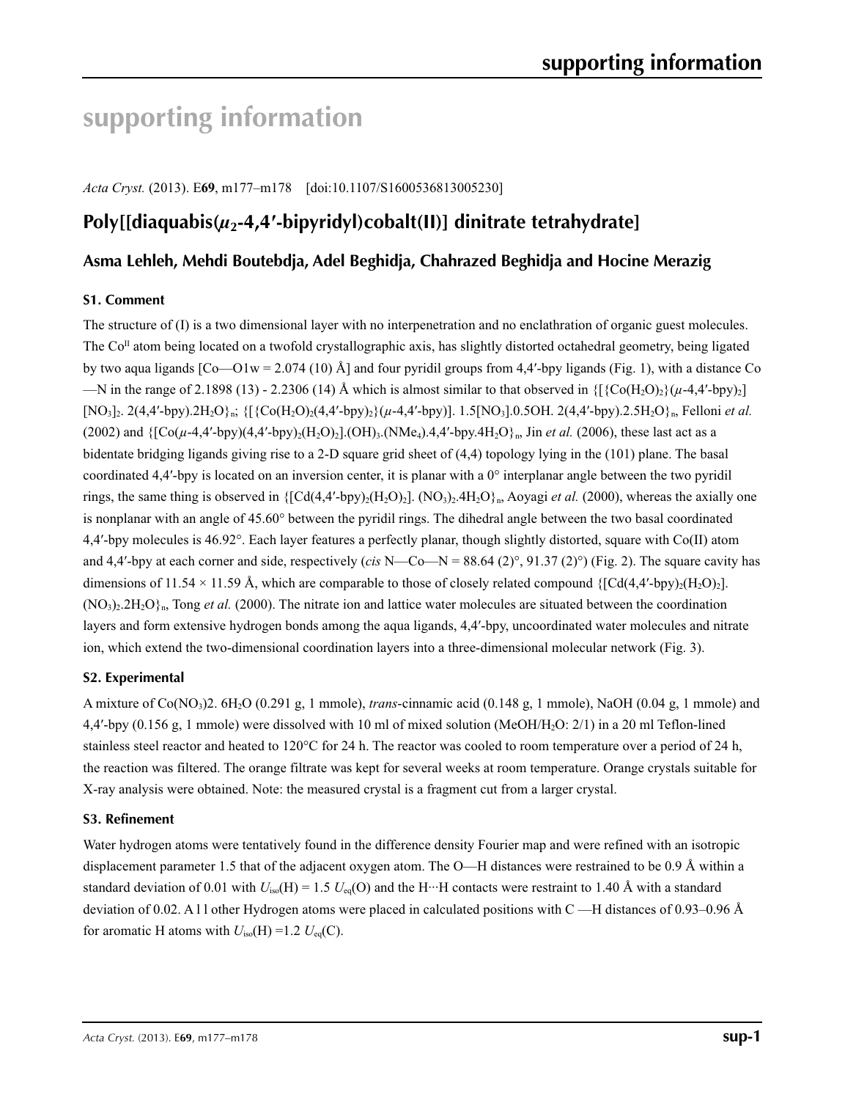# **supporting information**

*Acta Cryst.* (2013). E**69**, m177–m178 [doi:10.1107/S1600536813005230]

# **Poly[[diaquabis(***µ***2-4,4′-bipyridyl)cobalt(II)] dinitrate tetrahydrate]**

## **Asma Lehleh, Mehdi Boutebdja, Adel Beghidja, Chahrazed Beghidja and Hocine Merazig**

## **S1. Comment**

The structure of (I) is a two dimensional layer with no interpenetration and no enclathration of organic guest molecules. The  $Co<sup>\Pi</sup>$  atom being located on a twofold crystallographic axis, has slightly distorted octahedral geometry, being ligated by two aqua ligands  $[Co-O1w = 2.074 (10)$  Å] and four pyridil groups from 4,4'-bpy ligands (Fig. 1), with a distance Co —N in the range of 2.1898 (13) - 2.2306 (14) Å which is almost similar to that observed in  $\{ \{ \text{Co}(\text{H}_2\text{O}_2)\}(\mu$ -4,4'-bpy)<sub>2</sub>]  $[NO_3]_2$ . 2(4,4'-bpy).2H<sub>2</sub>O}<sub>n</sub>;  $\{[\{Co(H_2O)_2(4,4'$ -bpy)<sub>2</sub> $\{(\mu-4,4'$ -bpy)]. 1.5 $[NO_3]_0.5OH$ . 2(4,4'-bpy).2.5H<sub>2</sub>O}<sub>n</sub>, Felloni *et al.*  $(2002)$  and  $\{[\text{Co}(\mu-4,4'-bpy)(4,4'-bpy)_{2}(\text{H}_{2}\text{O})_{2}].(\text{OH})_{3}$ . (NMe<sub>4</sub>).4,4'-bpy.4H<sub>2</sub>O}<sub>n</sub>, Jin *et al.* (2006), these last act as a bidentate bridging ligands giving rise to a 2-D square grid sheet of (4,4) topology lying in the (101) plane. The basal coordinated 4,4'-bpy is located on an inversion center, it is planar with a  $0^\circ$  interplanar angle between the two pyridil rings, the same thing is observed in  $\{[Cd(4,4'-bpy)_2(H_2O)_2]$ .  $(NO_3)_2.4H_2O\}$ <sub>n</sub>, Aoyagi *et al.* (2000), whereas the axially one is nonplanar with an angle of 45.60° between the pyridil rings. The dihedral angle between the two basal coordinated 4,4′-bpy molecules is 46.92°. Each layer features a perfectly planar, though slightly distorted, square with Co(II) atom and 4,4'-bpy at each corner and side, respectively (*cis* N—Co—N =  $88.64$  (2) $^{\circ}$ , 91.37 (2) $^{\circ}$ ) (Fig. 2). The square cavity has dimensions of 11.54 × 11.59 Å, which are comparable to those of closely related compound  $\{[Cd(4,4'-bpy)_2(H_2O)_2]$ .  $(NO<sub>3</sub>)<sub>2</sub>2H<sub>2</sub>O<sub>k</sub>$ , Tong *et al.* (2000). The nitrate ion and lattice water molecules are situated between the coordination layers and form extensive hydrogen bonds among the aqua ligands, 4,4′-bpy, uncoordinated water molecules and nitrate ion, which extend the two-dimensional coordination layers into a three-dimensional molecular network (Fig. 3).

## **S2. Experimental**

A mixture of Co(NO3)2. 6H2O (0.291 g, 1 mmole), *trans*-cinnamic acid (0.148 g, 1 mmole), NaOH (0.04 g, 1 mmole) and 4,4′-bpy (0.156 g, 1 mmole) were dissolved with 10 ml of mixed solution (MeOH/H2O: 2/1) in a 20 ml Teflon-lined stainless steel reactor and heated to 120°C for 24 h. The reactor was cooled to room temperature over a period of 24 h, the reaction was filtered. The orange filtrate was kept for several weeks at room temperature. Orange crystals suitable for X-ray analysis were obtained. Note: the measured crystal is a fragment cut from a larger crystal.

#### **S3. Refinement**

Water hydrogen atoms were tentatively found in the difference density Fourier map and were refined with an isotropic displacement parameter 1.5 that of the adjacent oxygen atom. The O—H distances were restrained to be 0.9 Å within a standard deviation of 0.01 with  $U_{iso}(H) = 1.5 U_{eq}(O)$  and the H···H contacts were restraint to 1.40 Å with a standard deviation of 0.02. A l l other Hydrogen atoms were placed in calculated positions with C —H distances of 0.93–0.96 Å for aromatic H atoms with  $U_{\text{iso}}(H) = 1.2 U_{\text{eq}}(C)$ .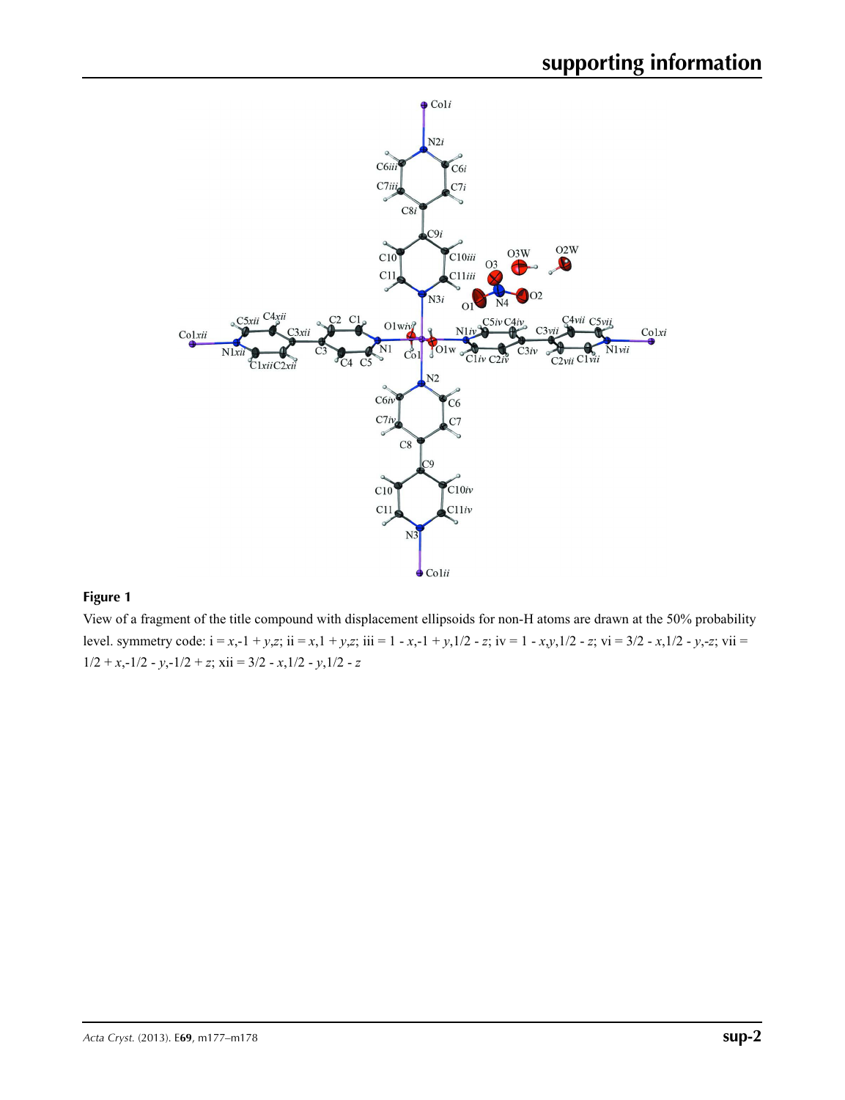

## **Figure 1**

View of a fragment of the title compound with displacement ellipsoids for non-H atoms are drawn at the 50% probability level. symmetry code:  $i = x, -1 + y, z$ ;  $ii = x, 1 + y, z$ ;  $iii = 1 - x, -1 + y, 1/2 - z$ ;  $iv = 1 - x, y, 1/2 - z$ ;  $vi = 3/2 - x, 1/2 - y, -z$ ;  $vii = 1 - x, 1/2 - z$ ;  $vi = 1 - x, y, 1/2 - z$ ;  $vi = 3/2 - x, 1/2 - y, -z$ ;  $vi = 1 - x, 1/2 - z$  $1/2 + x, -1/2 - y, -1/2 + z$ ;  $xii = 3/2 - x, 1/2 - y, 1/2 - z$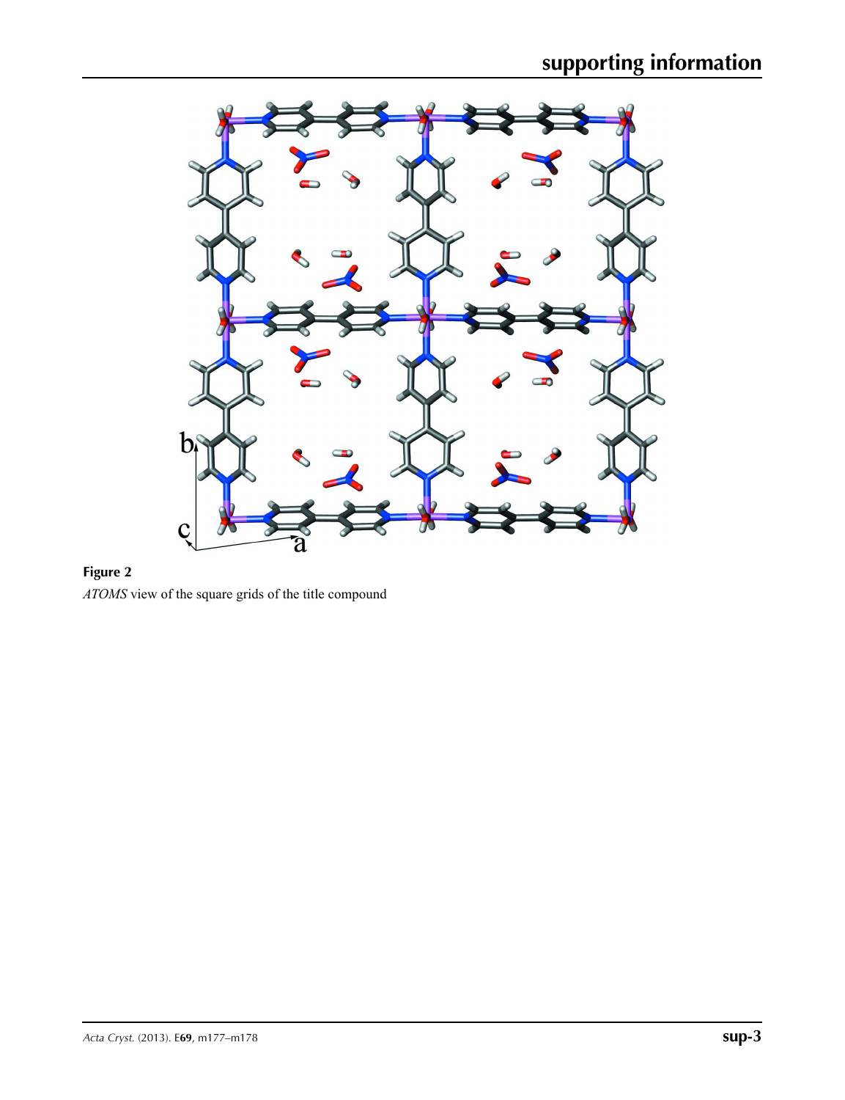

## **Figure 2**

*ATOMS* view of the square grids of the title compound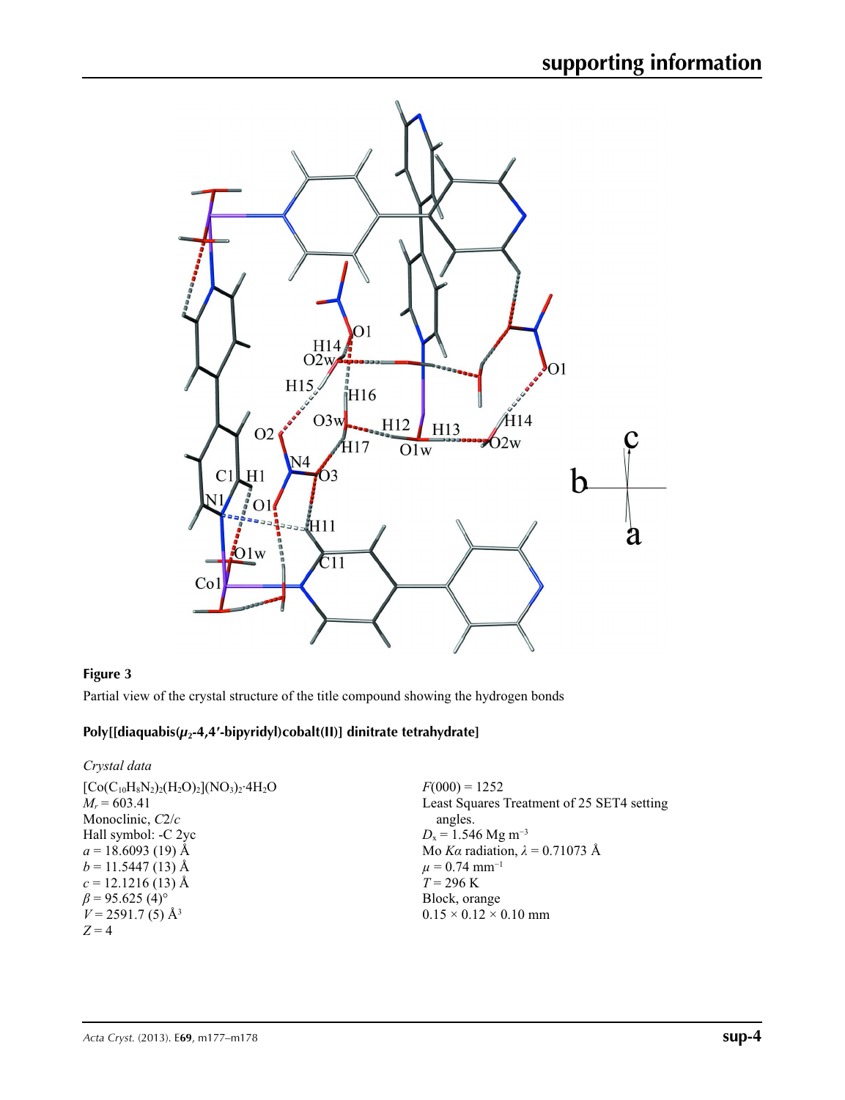

## **Figure 3**

Partial view of the crystal structure of the title compound showing the hydrogen bonds

## **Poly[[diaquabis(***µ***2-4,4′-bipyridyl)cobalt(II)] dinitrate tetrahydrate]**

| Crystal data                                                                                                                                                                                                                                             |                                                                                                                                                                                                                                                                      |
|----------------------------------------------------------------------------------------------------------------------------------------------------------------------------------------------------------------------------------------------------------|----------------------------------------------------------------------------------------------------------------------------------------------------------------------------------------------------------------------------------------------------------------------|
| $[Co(C_{10}H_8N_2)_2(H_2O)_2] (NO_3)_2.4H_2O$<br>$M_r = 603.41$<br>Monoclinic, $C2/c$<br>Hall symbol: -C 2yc<br>$a = 18.6093(19)$ Å<br>$b = 11.5447(13)$ Å<br>$c = 12.1216(13)$ Å<br>$\beta$ = 95.625 (4) <sup>o</sup><br>$V = 2591.7(5)$ Å <sup>3</sup> | $F(000) = 1252$<br>Least Squares Treatment of 25 SET4 setting<br>angles.<br>$D_x = 1.546$ Mg m <sup>-3</sup><br>Mo Ka radiation, $\lambda = 0.71073$ Å<br>$\mu$ = 0.74 mm <sup>-1</sup><br>$T = 296 \text{ K}$<br>Block, orange<br>$0.15 \times 0.12 \times 0.10$ mm |
| $Z=4$                                                                                                                                                                                                                                                    |                                                                                                                                                                                                                                                                      |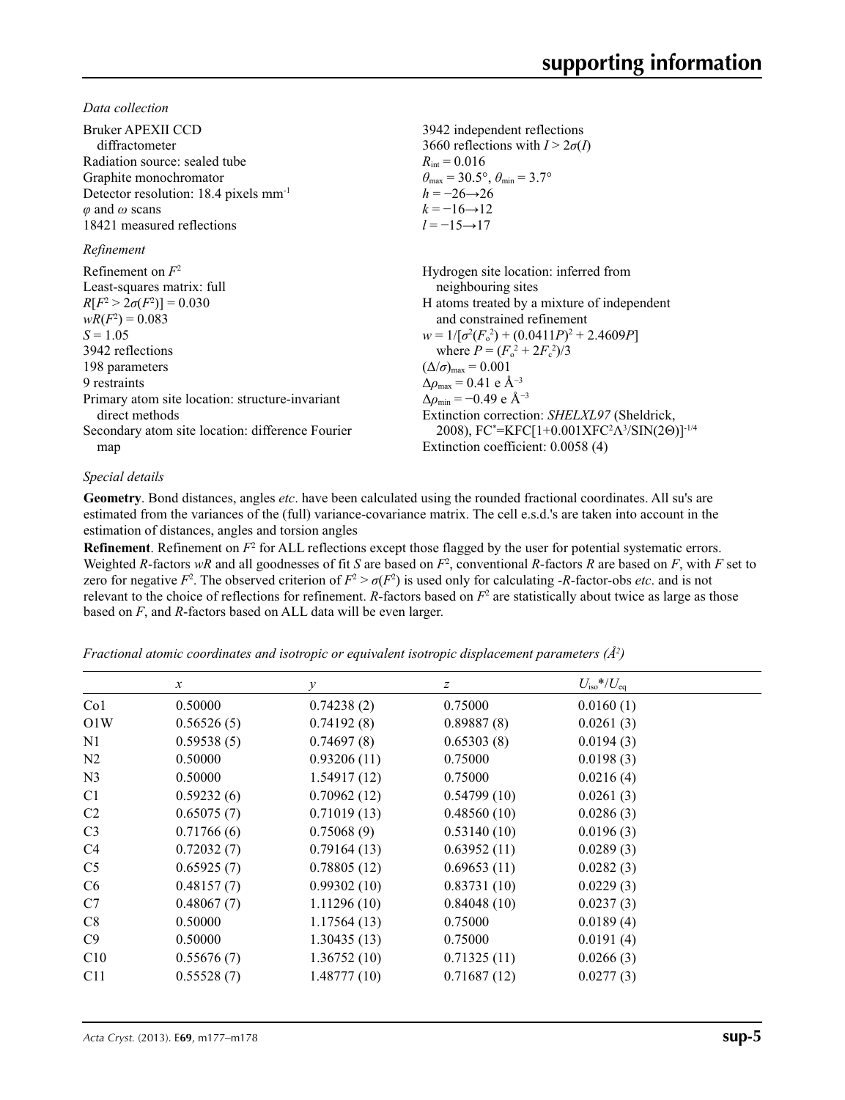*Data collection*

| Bruker APEXII CCD<br>diffractometer               | 3942 independent reflections<br>3660 reflections with $I > 2\sigma(I)$                           |
|---------------------------------------------------|--------------------------------------------------------------------------------------------------|
| Radiation source: sealed tube                     | $R_{\text{int}} = 0.016$                                                                         |
| Graphite monochromator                            | $\theta_{\text{max}} = 30.5^{\circ}, \theta_{\text{min}} = 3.7^{\circ}$                          |
| Detector resolution: 18.4 pixels mm <sup>-1</sup> | $h = -26 \rightarrow 26$                                                                         |
| $\varphi$ and $\omega$ scans                      | $k = -16 \rightarrow 12$                                                                         |
| 18421 measured reflections                        | $l = -15 \rightarrow 17$                                                                         |
| Refinement                                        |                                                                                                  |
| Refinement on $F^2$                               | Hydrogen site location: inferred from                                                            |
| Least-squares matrix: full                        | neighbouring sites                                                                               |
| $R[F^2 > 2\sigma(F^2)] = 0.030$                   | H atoms treated by a mixture of independent                                                      |
| $wR(F^2) = 0.083$                                 | and constrained refinement                                                                       |
| $S = 1.05$                                        | $w = 1/[\sigma^2(F_0^2) + (0.0411P)^2 + 2.4609P]$                                                |
| 3942 reflections                                  | where $P = (F_0^2 + 2F_s^2)/3$                                                                   |
| 198 parameters                                    | $(\Delta/\sigma)_{\text{max}} = 0.001$                                                           |
| 9 restraints                                      | $\Delta\rho_{\rm max} = 0.41 \text{ e } \text{\AA}^{-3}$                                         |
| Primary atom site location: structure-invariant   | $\Delta\rho_{\rm min} = -0.49$ e Å <sup>-3</sup>                                                 |
| direct methods                                    | Extinction correction: <i>SHELXL97</i> (Sheldrick,                                               |
| Secondary atom site location: difference Fourier  | 2008), FC*=KFC[1+0.001XFC <sup>2</sup> $\Lambda$ <sup>3</sup> /SIN(2 $\Theta$ )] <sup>-1/4</sup> |
| map                                               | Extinction coefficient: 0.0058 (4)                                                               |
|                                                   |                                                                                                  |

#### *Special details*

**Geometry**. Bond distances, angles *etc*. have been calculated using the rounded fractional coordinates. All su's are estimated from the variances of the (full) variance-covariance matrix. The cell e.s.d.'s are taken into account in the estimation of distances, angles and torsion angles

**Refinement**. Refinement on  $F^2$  for ALL reflections except those flagged by the user for potential systematic errors. Weighted *R*-factors  $wR$  and all goodnesses of fit *S* are based on  $F^2$ , conventional *R*-factors *R* are based on *F*, with *F* set to zero for negative  $F^2$ . The observed criterion of  $F^2 > \sigma(F^2)$  is used only for calculating -*R*-factor-obs *etc*. and is not relevant to the choice of reflections for refinement.  $R$ -factors based on  $F<sup>2</sup>$  are statistically about twice as large as those based on *F*, and *R*-factors based on ALL data will be even larger.

*Fractional atomic coordinates and isotropic or equivalent isotropic displacement parameters (Å<sup>2</sup>)* 

|                | $\boldsymbol{x}$ | $\mathcal V$ | z           | $U_{\rm iso}*/U_{\rm eq}$ |  |
|----------------|------------------|--------------|-------------|---------------------------|--|
| Co1            | 0.50000          | 0.74238(2)   | 0.75000     | 0.0160(1)                 |  |
| O1W            | 0.56526(5)       | 0.74192(8)   | 0.89887(8)  | 0.0261(3)                 |  |
| N <sub>1</sub> | 0.59538(5)       | 0.74697(8)   | 0.65303(8)  | 0.0194(3)                 |  |
| N2             | 0.50000          | 0.93206(11)  | 0.75000     | 0.0198(3)                 |  |
| N <sub>3</sub> | 0.50000          | 1.54917(12)  | 0.75000     | 0.0216(4)                 |  |
| C <sub>1</sub> | 0.59232(6)       | 0.70962(12)  | 0.54799(10) | 0.0261(3)                 |  |
| C2             | 0.65075(7)       | 0.71019(13)  | 0.48560(10) | 0.0286(3)                 |  |
| C <sub>3</sub> | 0.71766(6)       | 0.75068(9)   | 0.53140(10) | 0.0196(3)                 |  |
| C4             | 0.72032(7)       | 0.79164(13)  | 0.63952(11) | 0.0289(3)                 |  |
| C <sub>5</sub> | 0.65925(7)       | 0.78805(12)  | 0.69653(11) | 0.0282(3)                 |  |
| C <sub>6</sub> | 0.48157(7)       | 0.99302(10)  | 0.83731(10) | 0.0229(3)                 |  |
| C7             | 0.48067(7)       | 1.11296(10)  | 0.84048(10) | 0.0237(3)                 |  |
| C8             | 0.50000          | 1.17564(13)  | 0.75000     | 0.0189(4)                 |  |
| C9             | 0.50000          | 1.30435(13)  | 0.75000     | 0.0191(4)                 |  |
| C10            | 0.55676(7)       | 1.36752(10)  | 0.71325(11) | 0.0266(3)                 |  |
| C11            | 0.55528(7)       | 1.48777(10)  | 0.71687(12) | 0.0277(3)                 |  |
|                |                  |              |             |                           |  |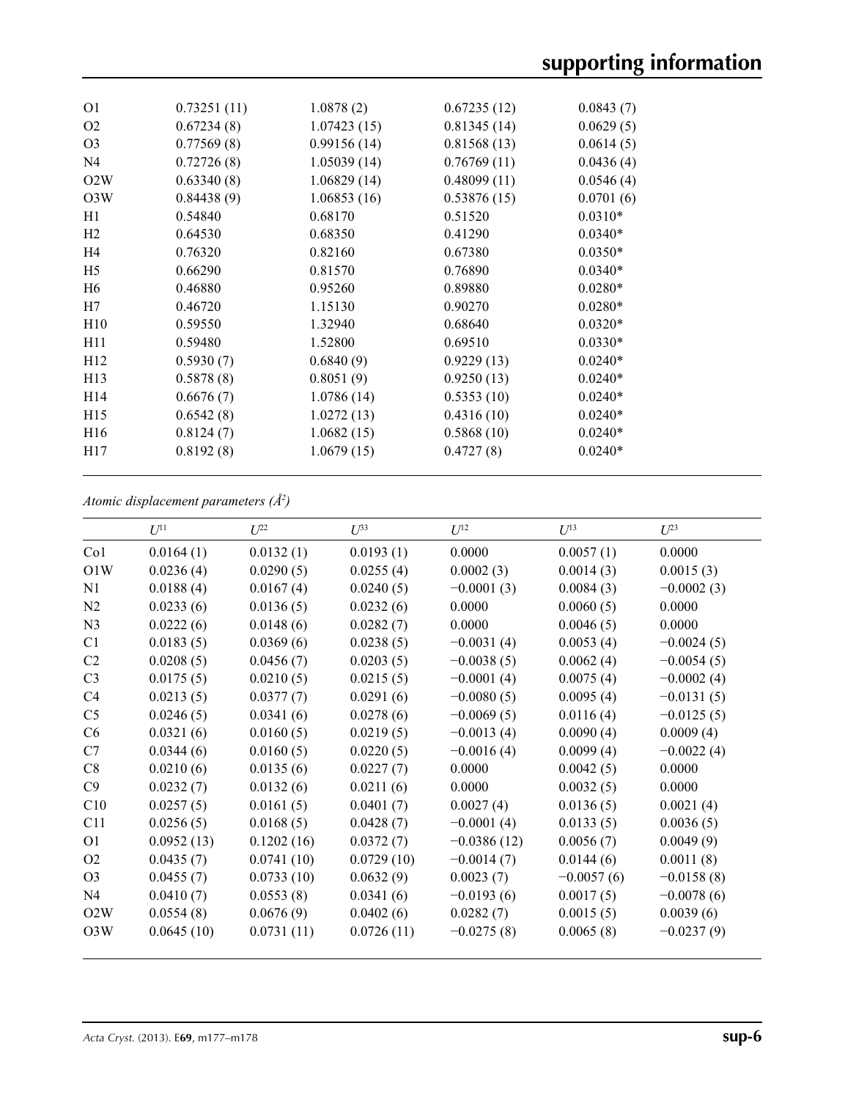| O <sub>1</sub>  | 0.73251(11) | 1.0878(2)   | 0.67235(12) | 0.0843(7) |  |
|-----------------|-------------|-------------|-------------|-----------|--|
| O <sub>2</sub>  | 0.67234(8)  | 1.07423(15) | 0.81345(14) | 0.0629(5) |  |
| O <sub>3</sub>  | 0.77569(8)  | 0.99156(14) | 0.81568(13) | 0.0614(5) |  |
| N <sub>4</sub>  | 0.72726(8)  | 1.05039(14) | 0.76769(11) | 0.0436(4) |  |
| O2W             | 0.63340(8)  | 1.06829(14) | 0.48099(11) | 0.0546(4) |  |
| O3W             | 0.84438(9)  | 1.06853(16) | 0.53876(15) | 0.0701(6) |  |
| H1              | 0.54840     | 0.68170     | 0.51520     | $0.0310*$ |  |
| H2              | 0.64530     | 0.68350     | 0.41290     | $0.0340*$ |  |
| H <sub>4</sub>  | 0.76320     | 0.82160     | 0.67380     | $0.0350*$ |  |
| H <sub>5</sub>  | 0.66290     | 0.81570     | 0.76890     | $0.0340*$ |  |
| H <sub>6</sub>  | 0.46880     | 0.95260     | 0.89880     | $0.0280*$ |  |
| H7              | 0.46720     | 1.15130     | 0.90270     | $0.0280*$ |  |
| H10             | 0.59550     | 1.32940     | 0.68640     | $0.0320*$ |  |
| H11             | 0.59480     | 1.52800     | 0.69510     | $0.0330*$ |  |
| H12             | 0.5930(7)   | 0.6840(9)   | 0.9229(13)  | $0.0240*$ |  |
| H13             | 0.5878(8)   | 0.8051(9)   | 0.9250(13)  | $0.0240*$ |  |
| H14             | 0.6676(7)   | 1.0786(14)  | 0.5353(10)  | $0.0240*$ |  |
| H15             | 0.6542(8)   | 1.0272(13)  | 0.4316(10)  | $0.0240*$ |  |
| H <sub>16</sub> | 0.8124(7)   | 1.0682(15)  | 0.5868(10)  | $0.0240*$ |  |
| H17             | 0.8192(8)   | 1.0679(15)  | 0.4727(8)   | $0.0240*$ |  |
|                 |             |             |             |           |  |

*Atomic displacement parameters (Å2 )*

|                | $U^{11}$   | I/22       | $\mathcal{I}^{\beta 3}$ | $U^{12}$      | $U^{13}$     | $I^{23}$     |
|----------------|------------|------------|-------------------------|---------------|--------------|--------------|
| Co1            | 0.0164(1)  | 0.0132(1)  | 0.0193(1)               | 0.0000        | 0.0057(1)    | 0.0000       |
| O1W            | 0.0236(4)  | 0.0290(5)  | 0.0255(4)               | 0.0002(3)     | 0.0014(3)    | 0.0015(3)    |
| N <sub>1</sub> | 0.0188(4)  | 0.0167(4)  | 0.0240(5)               | $-0.0001(3)$  | 0.0084(3)    | $-0.0002(3)$ |
| N2             | 0.0233(6)  | 0.0136(5)  | 0.0232(6)               | 0.0000        | 0.0060(5)    | 0.0000       |
| N <sub>3</sub> | 0.0222(6)  | 0.0148(6)  | 0.0282(7)               | 0.0000        | 0.0046(5)    | 0.0000       |
| C1             | 0.0183(5)  | 0.0369(6)  | 0.0238(5)               | $-0.0031(4)$  | 0.0053(4)    | $-0.0024(5)$ |
| C <sub>2</sub> | 0.0208(5)  | 0.0456(7)  | 0.0203(5)               | $-0.0038(5)$  | 0.0062(4)    | $-0.0054(5)$ |
| C <sub>3</sub> | 0.0175(5)  | 0.0210(5)  | 0.0215(5)               | $-0.0001(4)$  | 0.0075(4)    | $-0.0002(4)$ |
| C <sub>4</sub> | 0.0213(5)  | 0.0377(7)  | 0.0291(6)               | $-0.0080(5)$  | 0.0095(4)    | $-0.0131(5)$ |
| C <sub>5</sub> | 0.0246(5)  | 0.0341(6)  | 0.0278(6)               | $-0.0069(5)$  | 0.0116(4)    | $-0.0125(5)$ |
| C <sub>6</sub> | 0.0321(6)  | 0.0160(5)  | 0.0219(5)               | $-0.0013(4)$  | 0.0090(4)    | 0.0009(4)    |
| C7             | 0.0344(6)  | 0.0160(5)  | 0.0220(5)               | $-0.0016(4)$  | 0.0099(4)    | $-0.0022(4)$ |
| C8             | 0.0210(6)  | 0.0135(6)  | 0.0227(7)               | 0.0000        | 0.0042(5)    | 0.0000       |
| C9             | 0.0232(7)  | 0.0132(6)  | 0.0211(6)               | 0.0000        | 0.0032(5)    | 0.0000       |
| C10            | 0.0257(5)  | 0.0161(5)  | 0.0401(7)               | 0.0027(4)     | 0.0136(5)    | 0.0021(4)    |
| C11            | 0.0256(5)  | 0.0168(5)  | 0.0428(7)               | $-0.0001(4)$  | 0.0133(5)    | 0.0036(5)    |
| O <sub>1</sub> | 0.0952(13) | 0.1202(16) | 0.0372(7)               | $-0.0386(12)$ | 0.0056(7)    | 0.0049(9)    |
| O <sub>2</sub> | 0.0435(7)  | 0.0741(10) | 0.0729(10)              | $-0.0014(7)$  | 0.0144(6)    | 0.0011(8)    |
| O <sub>3</sub> | 0.0455(7)  | 0.0733(10) | 0.0632(9)               | 0.0023(7)     | $-0.0057(6)$ | $-0.0158(8)$ |
| N <sub>4</sub> | 0.0410(7)  | 0.0553(8)  | 0.0341(6)               | $-0.0193(6)$  | 0.0017(5)    | $-0.0078(6)$ |
| O2W            | 0.0554(8)  | 0.0676(9)  | 0.0402(6)               | 0.0282(7)     | 0.0015(5)    | 0.0039(6)    |
| O3W            | 0.0645(10) | 0.0731(11) | 0.0726(11)              | $-0.0275(8)$  | 0.0065(8)    | $-0.0237(9)$ |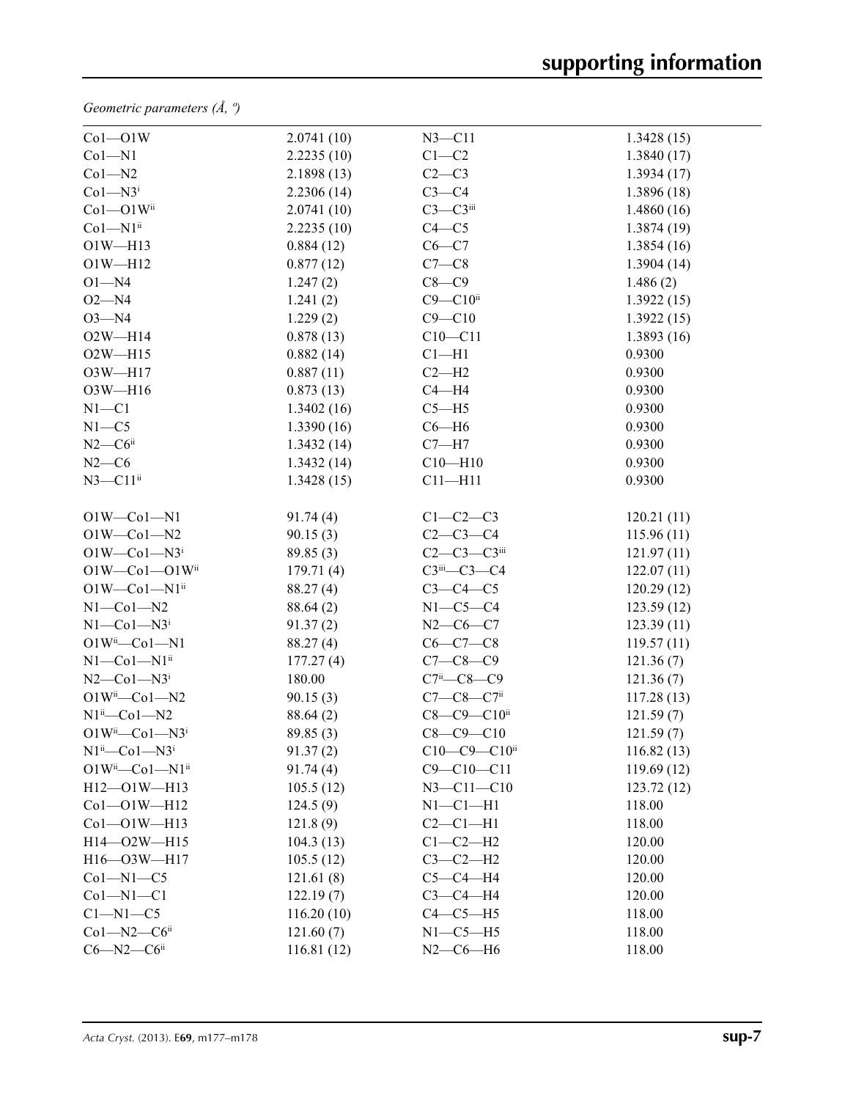*Geometric parameters (Å, º)*

| $Co1 - O1W$                        | 2.0741(10) | $N3 - C11$                        | 1.3428(15) |
|------------------------------------|------------|-----------------------------------|------------|
| $Co1 - N1$                         | 2.2235(10) | $C1-C2$                           | 1.3840(17) |
| $Co1 - N2$                         | 2.1898(13) | $C2-C3$                           | 1.3934(17) |
| $Co1 - N3i$                        | 2.2306(14) | $C3-C4$                           | 1.3896(18) |
| $Co1 - O1W$ <sup>ii</sup>          | 2.0741(10) | $C3-C3$ iii                       | 1.4860(16) |
| $Co1-M1ii$                         | 2.2235(10) | $C4 - C5$                         | 1.3874(19) |
| $O1W - H13$                        | 0.884(12)  | $C6-C7$                           | 1.3854(16) |
| $O1W - H12$                        | 0.877(12)  | $C7-C8$                           | 1.3904(14) |
| $O1 - N4$                          | 1.247(2)   | $C8-C9$                           | 1.486(2)   |
| $O2 - N4$                          | 1.241(2)   | $C9 - C10$ ii                     | 1.3922(15) |
| $O3 - N4$                          | 1.229(2)   | $C9 - C10$                        | 1.3922(15) |
| $O2W - H14$                        | 0.878(13)  | $C10-C11$                         | 1.3893(16) |
| $O2W - H15$                        | 0.882(14)  | $C1 - H1$                         | 0.9300     |
| $O3W - H17$                        | 0.887(11)  | $C2-H2$                           | 0.9300     |
| $O3W - H16$                        | 0.873(13)  | $C4 - H4$                         | 0.9300     |
| $N1 - C1$                          | 1.3402(16) | $C5 - H5$                         | 0.9300     |
| $N1 - C5$                          | 1.3390(16) | $C6 - H6$                         | 0.9300     |
| $N2-C6$ ii                         | 1.3432(14) | $C7 - H7$                         | 0.9300     |
| $N2-C6$                            | 1.3432(14) | $C10 - H10$                       | 0.9300     |
| $N3$ — $C11$ <sup>ii</sup>         | 1.3428(15) | $C11 - H11$                       | 0.9300     |
| $O1W$ — $Co1$ — $N1$               | 91.74(4)   | $C1-C2-C3$                        | 120.21(11) |
| $O1W$ — $Co1$ — $N2$               | 90.15(3)   | $C2-C3-C4$                        | 115.96(11) |
| $O1W$ — $Co1$ — $N3i$              | 89.85(3)   | $C2-C3-C3$ iii                    | 121.97(11) |
| $O1W$ — $Co1$ — $O1W$ ii           | 179.71(4)  | $C3$ <sup>iii</sup> — $C3$ — $C4$ | 122.07(11) |
| $O1W$ — $Co1$ — $N1$ <sup>ii</sup> | 88.27 (4)  | $C3-C4-C5$                        | 120.29(12) |
| $N1$ — $Co1$ — $N2$                | 88.64 (2)  | $N1-C5-C4$                        | 123.59(12) |
| $N1-Co1-N3i$                       | 91.37(2)   | $N2-C6-C7$                        | 123.39(11) |
| $O1W^i$ -Co $1$ -N1                | 88.27 (4)  | $C6-C7-C8$                        | 119.57(11) |
| $N1$ — $Co1$ — $N1$ <sup>ii</sup>  | 177.27(4)  | $C7 - C8 - C9$                    | 121.36(7)  |
| $N2$ — $Co1$ — $N3i$               | 180.00     | $C7^i$ - $C8$ - $C9$              | 121.36(7)  |
| $O1W^i$ -Co $1$ -N2                | 90.15(3)   | $C7 - C8 - C7$ ii                 | 117.28(13) |
| $N1^{ii}$ -Co $1$ -N2              | 88.64(2)   | C8-C9-C10ii                       | 121.59(7)  |
| $O1W^{ii}$ -Co1-N3 <sup>i</sup>    | 89.85(3)   | $C8 - C9 - C10$                   | 121.59(7)  |
| $N1^{ii}$ — $Co1$ — $N3^{i}$       | 91.37(2)   | $C10-C9-C10$ <sup>ii</sup>        | 116.82(13) |
| $O1W^{ii}$ — $Co1$ — $N1^{ii}$     | 91.74(4)   | $C9 - C10 - C11$                  | 119.69(12) |
| H12-01W-H13                        | 105.5(12)  | $N3 - C11 - C10$                  | 123.72(12) |
| $Co1 - O1W - H12$                  | 124.5(9)   | $N1-C1-H1$                        | 118.00     |
| $Co1 - O1W - H13$                  | 121.8(9)   | $C2-C1-H1$                        | 118.00     |
| H14-02W-H15                        | 104.3(13)  | $C1-C2-H2$                        | 120.00     |
| H16-03W-H17                        | 105.5(12)  | $C3-C2-H2$                        | 120.00     |
| $Co1 - N1 - C5$                    | 121.61(8)  | $C5-C4-H4$                        | 120.00     |
| $Co1 - N1 - C1$                    | 122.19(7)  | $C3-C4-H4$                        | 120.00     |
| $Cl-M1-C5$                         | 116.20(10) | $C4-C5-H5$                        | 118.00     |
| $Co1 - N2 - C6$ ii                 | 121.60(7)  | $N1-C5-H5$                        | 118.00     |
| $C6 - N2 - C6$ ii                  | 116.81(12) | $N2-C6-H6$                        | 118.00     |